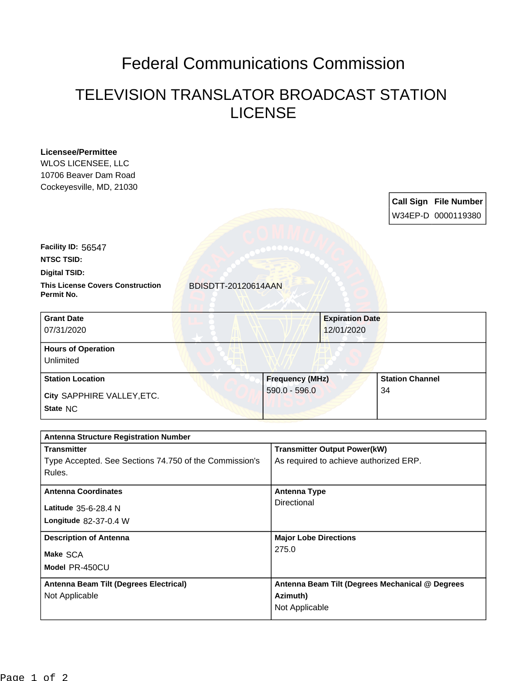## Federal Communications Commission

## TELEVISION TRANSLATOR BROADCAST STATION LICENSE

| <b>Licensee/Permittee</b><br><b>WLOS LICENSEE, LLC</b><br>10706 Beaver Dam Road<br>Cockeyesville, MD, 21030 |                     |                                        |                                                 |  | <b>Call Sign File Number</b> |  |
|-------------------------------------------------------------------------------------------------------------|---------------------|----------------------------------------|-------------------------------------------------|--|------------------------------|--|
|                                                                                                             |                     |                                        |                                                 |  | W34EP-D 0000119380           |  |
| Facility ID: 56547                                                                                          |                     |                                        |                                                 |  |                              |  |
| <b>NTSC TSID:</b>                                                                                           |                     |                                        |                                                 |  |                              |  |
| <b>Digital TSID:</b>                                                                                        |                     |                                        |                                                 |  |                              |  |
| <b>This License Covers Construction</b><br>Permit No.                                                       | BDISDTT-20120614AAN |                                        |                                                 |  |                              |  |
| <b>Grant Date</b>                                                                                           |                     |                                        | <b>Expiration Date</b>                          |  |                              |  |
| 07/31/2020                                                                                                  |                     |                                        | 12/01/2020                                      |  |                              |  |
| <b>Hours of Operation</b>                                                                                   |                     |                                        |                                                 |  |                              |  |
| Unlimited                                                                                                   |                     |                                        |                                                 |  |                              |  |
| <b>Station Location</b>                                                                                     |                     |                                        | <b>Frequency (MHz)</b>                          |  | <b>Station Channel</b>       |  |
| City SAPPHIRE VALLEY, ETC.                                                                                  |                     | $590.0 - 596.0$<br>34                  |                                                 |  |                              |  |
| State NC                                                                                                    |                     |                                        |                                                 |  |                              |  |
| <b>Antenna Structure Registration Number</b>                                                                |                     |                                        |                                                 |  |                              |  |
| <b>Transmitter</b>                                                                                          |                     |                                        | <b>Transmitter Output Power(kW)</b>             |  |                              |  |
| Type Accepted. See Sections 74.750 of the Commission's<br>Rules.                                            |                     | As required to achieve authorized ERP. |                                                 |  |                              |  |
| <b>Antenna Coordinates</b>                                                                                  |                     | <b>Antenna Type</b>                    |                                                 |  |                              |  |
| Latitude 35-6-28.4 N                                                                                        |                     | Directional                            |                                                 |  |                              |  |
| Longitude 82-37-0.4 W                                                                                       |                     |                                        |                                                 |  |                              |  |
| <b>Description of Antenna</b><br>Make SCA                                                                   |                     | <b>Major Lobe Directions</b>           |                                                 |  |                              |  |
|                                                                                                             |                     | 275.0                                  |                                                 |  |                              |  |
| Model PR-450CU                                                                                              |                     |                                        |                                                 |  |                              |  |
| Antenna Beam Tilt (Degrees Electrical)                                                                      |                     |                                        | Antenna Beam Tilt (Degrees Mechanical @ Degrees |  |                              |  |
| Not Applicable                                                                                              |                     | Azimuth)<br>Not Applicable             |                                                 |  |                              |  |
|                                                                                                             |                     |                                        |                                                 |  |                              |  |